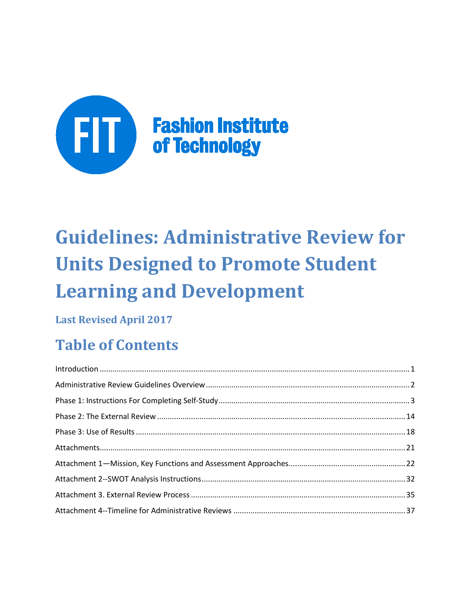

# **Guidelines: Administrative Review for Units Designed to Promote Student Learning and Development**

## **Last Revised April 2017**

## **Table of Contents**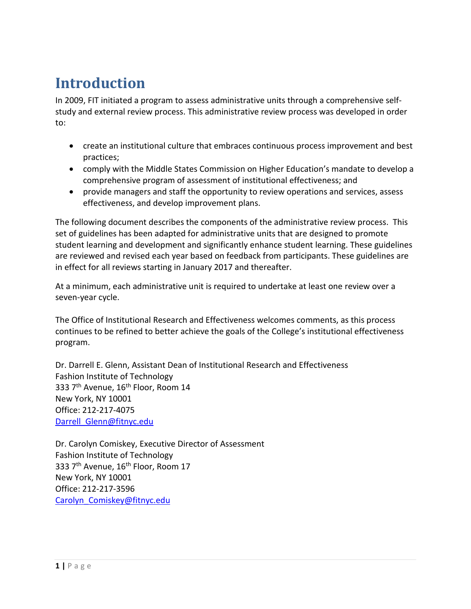## <span id="page-1-0"></span>**Introduction**

In 2009, FIT initiated a program to assess administrative units through a comprehensive selfstudy and external review process. This administrative review process was developed in order to:

- create an institutional culture that embraces continuous process improvement and best practices;
- comply with the Middle States Commission on Higher Education's mandate to develop a comprehensive program of assessment of institutional effectiveness; and
- provide managers and staff the opportunity to review operations and services, assess effectiveness, and develop improvement plans.

The following document describes the components of the administrative review process. This set of guidelines has been adapted for administrative units that are designed to promote student learning and development and significantly enhance student learning. These guidelines are reviewed and revised each year based on feedback from participants. These guidelines are in effect for all reviews starting in January 2017 and thereafter.

At a minimum, each administrative unit is required to undertake at least one review over a seven-year cycle.

The Office of Institutional Research and Effectiveness welcomes comments, as this process continues to be refined to better achieve the goals of the College's institutional effectiveness program.

Dr. Darrell E. Glenn, Assistant Dean of Institutional Research and Effectiveness Fashion Institute of Technology 333 7<sup>th</sup> Avenue, 16<sup>th</sup> Floor, Room 14 New York, NY 10001 Office: 212-217-4075 Darrell Glenn@fitnyc.edu

<span id="page-1-1"></span>Dr. Carolyn Comiskey, Executive Director of Assessment Fashion Institute of Technology 333 7<sup>th</sup> Avenue, 16<sup>th</sup> Floor, Room 17 New York, NY 10001 Office: 212-217-3596 [Carolyn\\_Comiskey@fitnyc.edu](mailto:Carolyn_Comiskey@fitnyc.edu)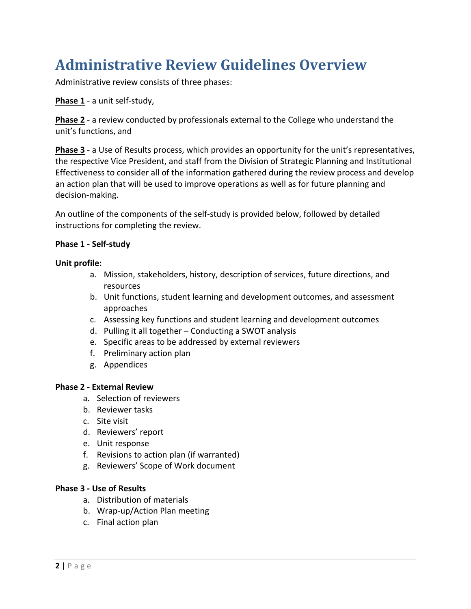## **Administrative Review Guidelines Overview**

Administrative review consists of three phases:

**Phase 1** - a unit self-study,

**Phase 2** - a review conducted by professionals external to the College who understand the unit's functions, and

**Phase 3** - a Use of Results process, which provides an opportunity for the unit's representatives, the respective Vice President, and staff from the Division of Strategic Planning and Institutional Effectiveness to consider all of the information gathered during the review process and develop an action plan that will be used to improve operations as well as for future planning and decision-making.

An outline of the components of the self-study is provided below, followed by detailed instructions for completing the review.

### **Phase 1 - Self-study**

#### **Unit profile:**

- a. Mission, stakeholders, history, description of services, future directions, and resources
- b. Unit functions, student learning and development outcomes, and assessment approaches
- c. Assessing key functions and student learning and development outcomes
- d. Pulling it all together Conducting a SWOT analysis
- e. Specific areas to be addressed by external reviewers
- f. Preliminary action plan
- g. Appendices

#### **Phase 2 - External Review**

- a. Selection of reviewers
- b. Reviewer tasks
- c. Site visit
- d. Reviewers' report
- e. Unit response
- f. Revisions to action plan (if warranted)
- g. Reviewers' Scope of Work document

#### **Phase 3 - Use of Results**

- a. Distribution of materials
- b. Wrap-up/Action Plan meeting
- c. Final action plan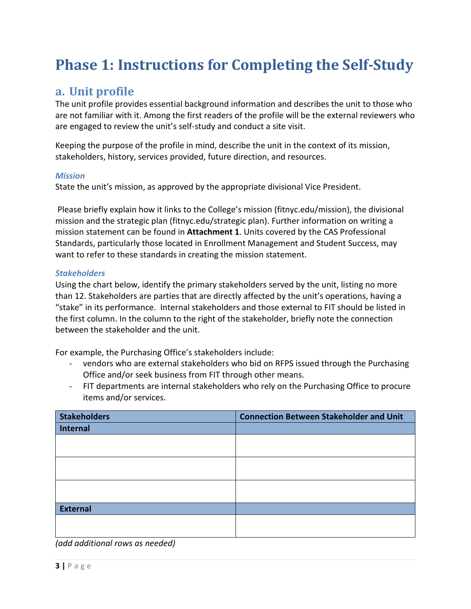## <span id="page-3-0"></span>**Phase 1: Instructions for Completing the Self-Study**

## **a. Unit profile**

The unit profile provides essential background information and describes the unit to those who are not familiar with it. Among the first readers of the profile will be the external reviewers who are engaged to review the unit's self-study and conduct a site visit.

Keeping the purpose of the profile in mind, describe the unit in the context of its mission, stakeholders, history, services provided, future direction, and resources.

### *Mission*

State the unit's mission, as approved by the appropriate divisional Vice President.

Please briefly explain how it links to the College's mission (fitnyc.edu/mission), the divisional mission and the strategic plan (fitnyc.edu/strategic plan). Further information on writing a mission statement can be found in **Attachment 1**. Units covered by the CAS Professional Standards, particularly those located in Enrollment Management and Student Success, may want to refer to these standards in creating the mission statement.

### *Stakeholders*

Using the chart below, identify the primary stakeholders served by the unit, listing no more than 12. Stakeholders are parties that are directly affected by the unit's operations, having a "stake" in its performance. Internal stakeholders and those external to FIT should be listed in the first column. In the column to the right of the stakeholder, briefly note the connection between the stakeholder and the unit.

For example, the Purchasing Office's stakeholders include:

- vendors who are external stakeholders who bid on RFPS issued through the Purchasing Office and/or seek business from FIT through other means.
- FIT departments are internal stakeholders who rely on the Purchasing Office to procure items and/or services.

| <b>Stakeholders</b> | <b>Connection Between Stakeholder and Unit</b> |
|---------------------|------------------------------------------------|
| <b>Internal</b>     |                                                |
|                     |                                                |
|                     |                                                |
|                     |                                                |
|                     |                                                |
|                     |                                                |
|                     |                                                |
| <b>External</b>     |                                                |
|                     |                                                |
|                     |                                                |

*(add additional rows as needed)*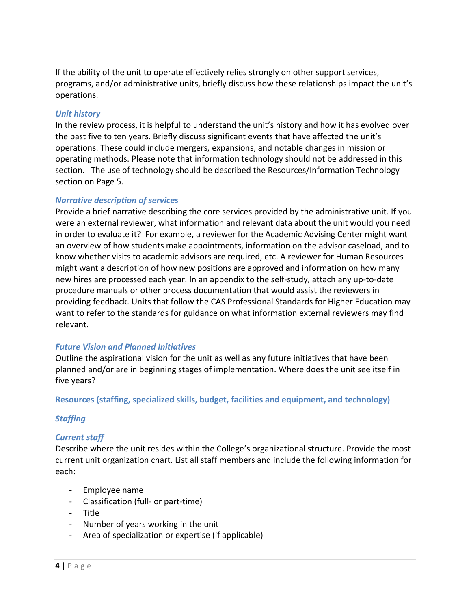If the ability of the unit to operate effectively relies strongly on other support services, programs, and/or administrative units, briefly discuss how these relationships impact the unit's operations.

#### *Unit history*

In the review process, it is helpful to understand the unit's history and how it has evolved over the past five to ten years. Briefly discuss significant events that have affected the unit's operations. These could include mergers, expansions, and notable changes in mission or operating methods. Please note that information technology should not be addressed in this section. The use of technology should be described the Resources/Information Technology section on Page 5.

#### *Narrative description of services*

Provide a brief narrative describing the core services provided by the administrative unit. If you were an external reviewer, what information and relevant data about the unit would you need in order to evaluate it? For example, a reviewer for the Academic Advising Center might want an overview of how students make appointments, information on the advisor caseload, and to know whether visits to academic advisors are required, etc. A reviewer for Human Resources might want a description of how new positions are approved and information on how many new hires are processed each year. In an appendix to the self-study, attach any up-to-date procedure manuals or other process documentation that would assist the reviewers in providing feedback. Units that follow the CAS Professional Standards for Higher Education may want to refer to the standards for guidance on what information external reviewers may find relevant.

## *Future Vision and Planned Initiatives*

Outline the aspirational vision for the unit as well as any future initiatives that have been planned and/or are in beginning stages of implementation. Where does the unit see itself in five years?

#### **Resources (staffing, specialized skills, budget, facilities and equipment, and technology)**

## *Staffing*

## *Current staff*

Describe where the unit resides within the College's organizational structure. Provide the most current unit organization chart. List all staff members and include the following information for each:

- Employee name
- Classification (full- or part-time)
- Title
- Number of years working in the unit
- Area of specialization or expertise (if applicable)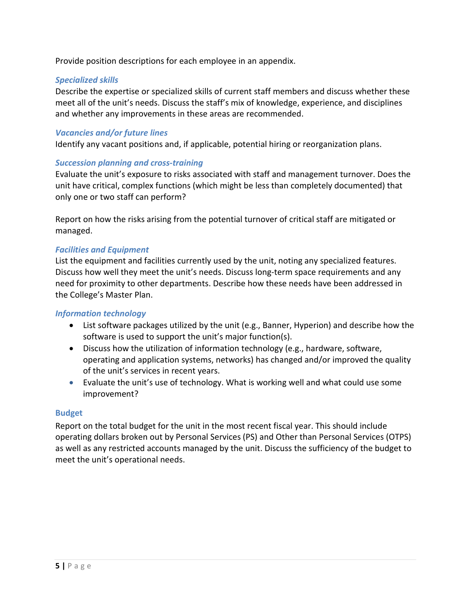Provide position descriptions for each employee in an appendix.

### *Specialized skills*

Describe the expertise or specialized skills of current staff members and discuss whether these meet all of the unit's needs. Discuss the staff's mix of knowledge, experience, and disciplines and whether any improvements in these areas are recommended.

### *Vacancies and/or future lines*

Identify any vacant positions and, if applicable, potential hiring or reorganization plans.

### *Succession planning and cross-training*

Evaluate the unit's exposure to risks associated with staff and management turnover. Does the unit have critical, complex functions (which might be less than completely documented) that only one or two staff can perform?

Report on how the risks arising from the potential turnover of critical staff are mitigated or managed.

### *Facilities and Equipment*

List the equipment and facilities currently used by the unit, noting any specialized features. Discuss how well they meet the unit's needs. Discuss long-term space requirements and any need for proximity to other departments. Describe how these needs have been addressed in the College's Master Plan.

#### *Information technology*

- List software packages utilized by the unit (e.g., Banner, Hyperion) and describe how the software is used to support the unit's major function(s).
- Discuss how the utilization of information technology (e.g., hardware, software, operating and application systems, networks) has changed and/or improved the quality of the unit's services in recent years.
- Evaluate the unit's use of technology. What is working well and what could use some improvement?

#### **Budget**

Report on the total budget for the unit in the most recent fiscal year. This should include operating dollars broken out by Personal Services (PS) and Other than Personal Services (OTPS) as well as any restricted accounts managed by the unit. Discuss the sufficiency of the budget to meet the unit's operational needs.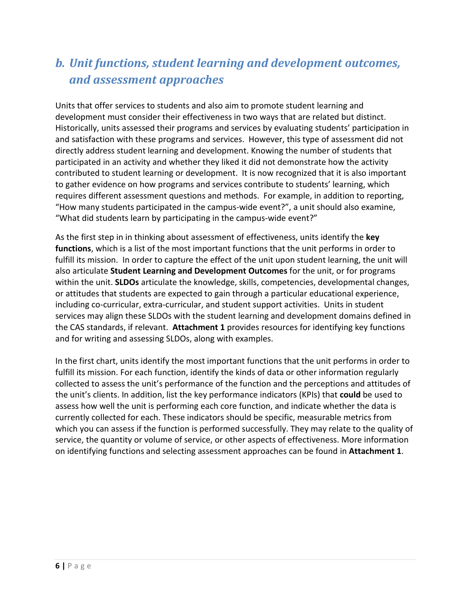## *b. Unit functions, student learning and development outcomes, and assessment approaches*

Units that offer services to students and also aim to promote student learning and development must consider their effectiveness in two ways that are related but distinct. Historically, units assessed their programs and services by evaluating students' participation in and satisfaction with these programs and services. However, this type of assessment did not directly address student learning and development. Knowing the number of students that participated in an activity and whether they liked it did not demonstrate how the activity contributed to student learning or development. It is now recognized that it is also important to gather evidence on how programs and services contribute to students' learning, which requires different assessment questions and methods. For example, in addition to reporting, "How many students participated in the campus-wide event?", a unit should also examine, "What did students learn by participating in the campus-wide event?"

As the first step in in thinking about assessment of effectiveness, units identify the **key functions**, which is a list of the most important functions that the unit performs in order to fulfill its mission. In order to capture the effect of the unit upon student learning, the unit will also articulate **Student Learning and Development Outcomes** for the unit, or for programs within the unit. **SLDOs** articulate the knowledge, skills, competencies, developmental changes, or attitudes that students are expected to gain through a particular educational experience, including co-curricular, extra-curricular, and student support activities. Units in student services may align these SLDOs with the student learning and development domains defined in the CAS standards, if relevant. **Attachment 1** provides resources for identifying key functions and for writing and assessing SLDOs, along with examples.

In the first chart, units identify the most important functions that the unit performs in order to fulfill its mission. For each function, identify the kinds of data or other information regularly collected to assess the unit's performance of the function and the perceptions and attitudes of the unit's clients. In addition, list the key performance indicators (KPIs) that **could** be used to assess how well the unit is performing each core function, and indicate whether the data is currently collected for each. These indicators should be specific, measurable metrics from which you can assess if the function is performed successfully. They may relate to the quality of service, the quantity or volume of service, or other aspects of effectiveness. More information on identifying functions and selecting assessment approaches can be found in **Attachment 1**.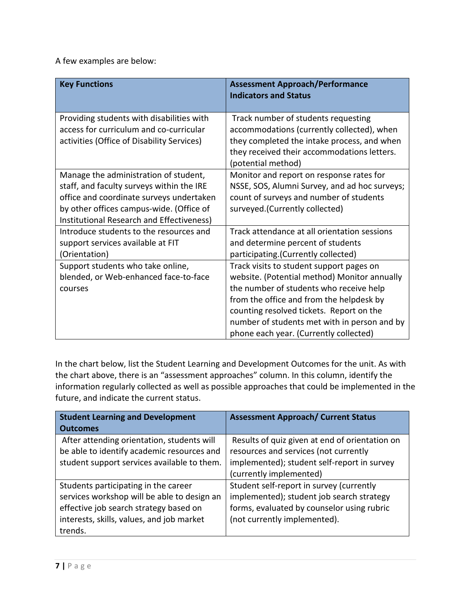A few examples are below:

| <b>Key Functions</b>                                                                                                                                                                                                    | <b>Assessment Approach/Performance</b><br><b>Indicators and Status</b>                                                                                                                                                                                                                                                |
|-------------------------------------------------------------------------------------------------------------------------------------------------------------------------------------------------------------------------|-----------------------------------------------------------------------------------------------------------------------------------------------------------------------------------------------------------------------------------------------------------------------------------------------------------------------|
| Providing students with disabilities with<br>access for curriculum and co-curricular<br>activities (Office of Disability Services)                                                                                      | Track number of students requesting<br>accommodations (currently collected), when<br>they completed the intake process, and when<br>they received their accommodations letters.<br>(potential method)                                                                                                                 |
| Manage the administration of student,<br>staff, and faculty surveys within the IRE<br>office and coordinate surveys undertaken<br>by other offices campus-wide. (Office of<br>Institutional Research and Effectiveness) | Monitor and report on response rates for<br>NSSE, SOS, Alumni Survey, and ad hoc surveys;<br>count of surveys and number of students<br>surveyed.(Currently collected)                                                                                                                                                |
| Introduce students to the resources and<br>support services available at FIT<br>(Orientation)                                                                                                                           | Track attendance at all orientation sessions<br>and determine percent of students<br>participating.(Currently collected)                                                                                                                                                                                              |
| Support students who take online,<br>blended, or Web-enhanced face-to-face<br>courses                                                                                                                                   | Track visits to student support pages on<br>website. (Potential method) Monitor annually<br>the number of students who receive help<br>from the office and from the helpdesk by<br>counting resolved tickets. Report on the<br>number of students met with in person and by<br>phone each year. (Currently collected) |

In the chart below, list the Student Learning and Development Outcomes for the unit. As with the chart above, there is an "assessment approaches" column. In this column, identify the information regularly collected as well as possible approaches that could be implemented in the future, and indicate the current status.

| <b>Student Learning and Development</b>                                                                                                                                               | <b>Assessment Approach/ Current Status</b>                                                                                                                          |  |
|---------------------------------------------------------------------------------------------------------------------------------------------------------------------------------------|---------------------------------------------------------------------------------------------------------------------------------------------------------------------|--|
| <b>Outcomes</b>                                                                                                                                                                       |                                                                                                                                                                     |  |
| After attending orientation, students will<br>be able to identify academic resources and<br>student support services available to them.                                               | Results of quiz given at end of orientation on<br>resources and services (not currently<br>implemented); student self-report in survey                              |  |
|                                                                                                                                                                                       | (currently implemented)                                                                                                                                             |  |
| Students participating in the career<br>services workshop will be able to design an<br>effective job search strategy based on<br>interests, skills, values, and job market<br>trends. | Student self-report in survey (currently<br>implemented); student job search strategy<br>forms, evaluated by counselor using rubric<br>(not currently implemented). |  |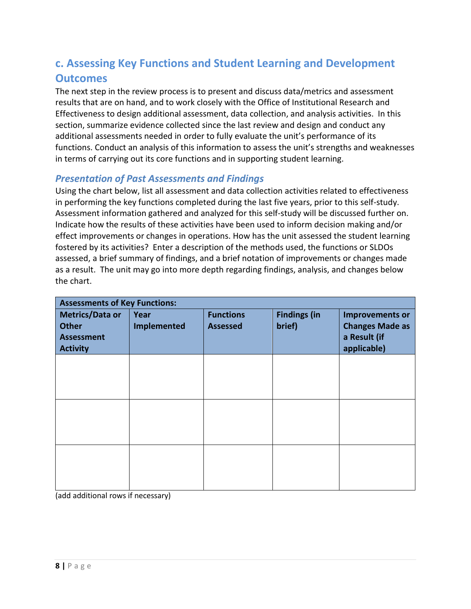## **c. Assessing Key Functions and Student Learning and Development Outcomes**

The next step in the review process is to present and discuss data/metrics and assessment results that are on hand, and to work closely with the Office of Institutional Research and Effectiveness to design additional assessment, data collection, and analysis activities. In this section, summarize evidence collected since the last review and design and conduct any additional assessments needed in order to fully evaluate the unit's performance of its functions. Conduct an analysis of this information to assess the unit's strengths and weaknesses in terms of carrying out its core functions and in supporting student learning.

## *Presentation of Past Assessments and Findings*

Using the chart below, list all assessment and data collection activities related to effectiveness in performing the key functions completed during the last five years, prior to this self-study. Assessment information gathered and analyzed for this self-study will be discussed further on. Indicate how the results of these activities have been used to inform decision making and/or effect improvements or changes in operations. How has the unit assessed the student learning fostered by its activities? Enter a description of the methods used, the functions or SLDOs assessed, a brief summary of findings, and a brief notation of improvements or changes made as a result. The unit may go into more depth regarding findings, analysis, and changes below the chart.

| <b>Assessments of Key Functions:</b> |                    |                  |                     |                        |  |
|--------------------------------------|--------------------|------------------|---------------------|------------------------|--|
| <b>Metrics/Data or</b>               | Year               | <b>Functions</b> | <b>Findings (in</b> | <b>Improvements or</b> |  |
| <b>Other</b>                         | <b>Implemented</b> | <b>Assessed</b>  | brief)              | <b>Changes Made as</b> |  |
| <b>Assessment</b>                    |                    |                  |                     | a Result (if           |  |
| <b>Activity</b>                      |                    |                  |                     | applicable)            |  |
|                                      |                    |                  |                     |                        |  |
|                                      |                    |                  |                     |                        |  |
|                                      |                    |                  |                     |                        |  |
|                                      |                    |                  |                     |                        |  |
|                                      |                    |                  |                     |                        |  |
|                                      |                    |                  |                     |                        |  |
|                                      |                    |                  |                     |                        |  |
|                                      |                    |                  |                     |                        |  |
|                                      |                    |                  |                     |                        |  |
|                                      |                    |                  |                     |                        |  |
|                                      |                    |                  |                     |                        |  |
|                                      |                    |                  |                     |                        |  |

(add additional rows if necessary)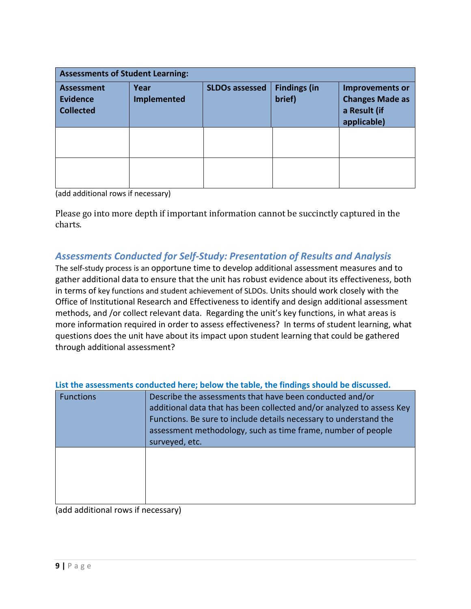| <b>Assessments of Student Learning:</b>                                                |  |                       |                               |                                                                                 |  |
|----------------------------------------------------------------------------------------|--|-----------------------|-------------------------------|---------------------------------------------------------------------------------|--|
| Year<br><b>Assessment</b><br><b>Evidence</b><br><b>Implemented</b><br><b>Collected</b> |  | <b>SLDOs assessed</b> | <b>Findings (in</b><br>brief) | <b>Improvements or</b><br><b>Changes Made as</b><br>a Result (if<br>applicable) |  |
|                                                                                        |  |                       |                               |                                                                                 |  |
|                                                                                        |  |                       |                               |                                                                                 |  |

(add additional rows if necessary)

Please go into more depth if important information cannot be succinctly captured in the charts.

## *Assessments Conducted for Self-Study: Presentation of Results and Analysis*

The self-study process is an opportune time to develop additional assessment measures and to gather additional data to ensure that the unit has robust evidence about its effectiveness, both in terms of key functions and student achievement of SLDOs. Units should work closely with the Office of Institutional Research and Effectiveness to identify and design additional assessment methods, and /or collect relevant data. Regarding the unit's key functions, in what areas is more information required in order to assess effectiveness? In terms of student learning, what questions does the unit have about its impact upon student learning that could be gathered through additional assessment?

| <b>Functions</b> | Describe the assessments that have been conducted and/or<br>additional data that has been collected and/or analyzed to assess Key<br>Functions. Be sure to include details necessary to understand the<br>assessment methodology, such as time frame, number of people<br>surveyed, etc. |
|------------------|------------------------------------------------------------------------------------------------------------------------------------------------------------------------------------------------------------------------------------------------------------------------------------------|
|                  |                                                                                                                                                                                                                                                                                          |

**List the assessments conducted here; below the table, the findings should be discussed.**

(add additional rows if necessary)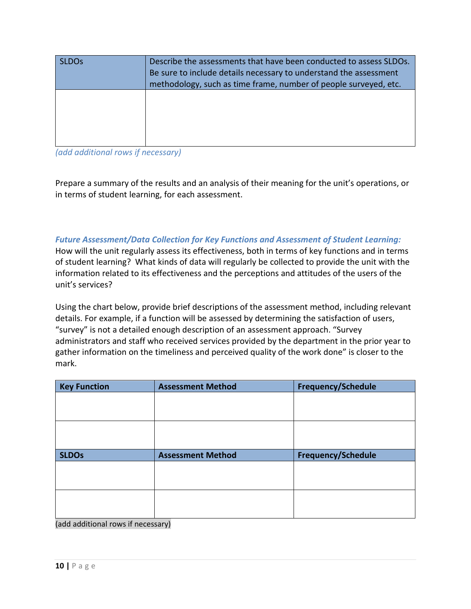| SLDO <sub>S</sub> | Describe the assessments that have been conducted to assess SLDOs.<br>Be sure to include details necessary to understand the assessment<br>methodology, such as time frame, number of people surveyed, etc. |
|-------------------|-------------------------------------------------------------------------------------------------------------------------------------------------------------------------------------------------------------|
|                   |                                                                                                                                                                                                             |

*(add additional rows if necessary)*

Prepare a summary of the results and an analysis of their meaning for the unit's operations, or in terms of student learning, for each assessment.

*Future Assessment/Data Collection for Key Functions and Assessment of Student Learning:* How will the unit regularly assess its effectiveness, both in terms of key functions and in terms of student learning? What kinds of data will regularly be collected to provide the unit with the information related to its effectiveness and the perceptions and attitudes of the users of the unit's services?

Using the chart below, provide brief descriptions of the assessment method, including relevant details. For example, if a function will be assessed by determining the satisfaction of users, "survey" is not a detailed enough description of an assessment approach. "Survey administrators and staff who received services provided by the department in the prior year to gather information on the timeliness and perceived quality of the work done" is closer to the mark.

| <b>Key Function</b> | <b>Assessment Method</b> | <b>Frequency/Schedule</b> |
|---------------------|--------------------------|---------------------------|
|                     |                          |                           |
|                     |                          |                           |
|                     |                          |                           |
|                     |                          |                           |
| <b>SLDOs</b>        | <b>Assessment Method</b> | <b>Frequency/Schedule</b> |
|                     |                          |                           |
|                     |                          |                           |
|                     |                          |                           |
|                     |                          |                           |

(add additional rows if necessary)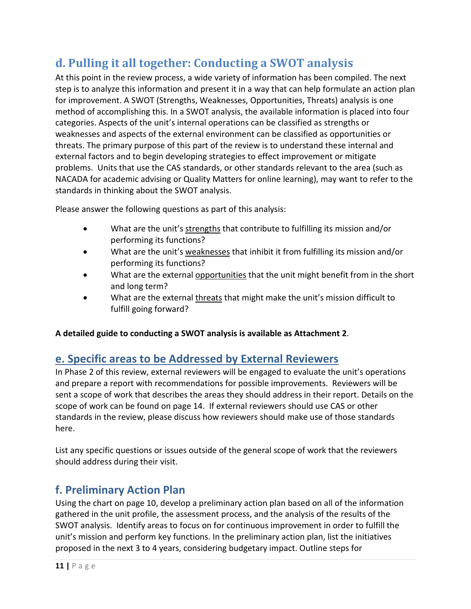## **d. Pulling it all together: Conducting a SWOT analysis**

At this point in the review process, a wide variety of information has been compiled. The next step is to analyze this information and present it in a way that can help formulate an action plan for improvement. A SWOT (Strengths, Weaknesses, Opportunities, Threats) analysis is one method of accomplishing this. In a SWOT analysis, the available information is placed into four categories. Aspects of the unit's internal operations can be classified as strengths or weaknesses and aspects of the external environment can be classified as opportunities or threats. The primary purpose of this part of the review is to understand these internal and external factors and to begin developing strategies to effect improvement or mitigate problems. Units that use the CAS standards, or other standards relevant to the area (such as NACADA for academic advising or Quality Matters for online learning), may want to refer to the standards in thinking about the SWOT analysis.

Please answer the following questions as part of this analysis:

- What are the unit's strengths that contribute to fulfilling its mission and/or performing its functions?
- What are the unit's weaknesses that inhibit it from fulfilling its mission and/or performing its functions?
- What are the external opportunities that the unit might benefit from in the short and long term?
- What are the external threats that might make the unit's mission difficult to fulfill going forward?

**A detailed guide to conducting a SWOT analysis is available as Attachment 2**.

## **e. Specific areas to be Addressed by External Reviewers**

In Phase 2 of this review, external reviewers will be engaged to evaluate the unit's operations and prepare a report with recommendations for possible improvements. Reviewers will be sent a scope of work that describes the areas they should address in their report. Details on the scope of work can be found on page 14. If external reviewers should use CAS or other standards in the review, please discuss how reviewers should make use of those standards here.

List any specific questions or issues outside of the general scope of work that the reviewers should address during their visit.

## **f. Preliminary Action Plan**

Using the chart on page 10, develop a preliminary action plan based on all of the information gathered in the unit profile, the assessment process, and the analysis of the results of the SWOT analysis. Identify areas to focus on for continuous improvement in order to fulfill the unit's mission and perform key functions. In the preliminary action plan, list the initiatives proposed in the next 3 to 4 years, considering budgetary impact. Outline steps for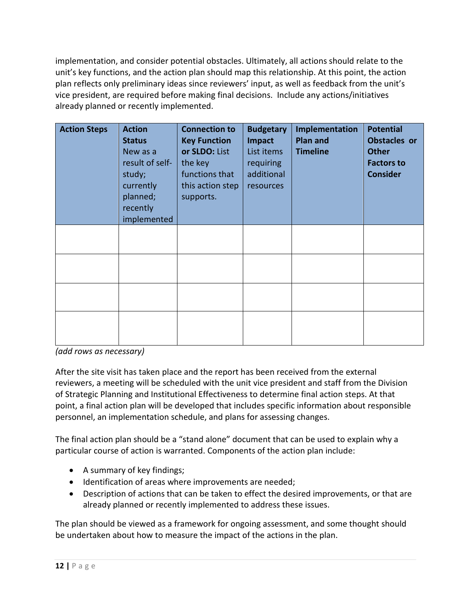implementation, and consider potential obstacles. Ultimately, all actions should relate to the unit's key functions, and the action plan should map this relationship. At this point, the action plan reflects only preliminary ideas since reviewers' input, as well as feedback from the unit's vice president, are required before making final decisions. Include any actions/initiatives already planned or recently implemented.

| <b>Action Steps</b> | <b>Action</b><br><b>Status</b><br>New as a<br>result of self-<br>study;<br>currently<br>planned;<br>recently<br>implemented | <b>Connection to</b><br><b>Key Function</b><br>or SLDO: List<br>the key<br>functions that<br>this action step<br>supports. | <b>Budgetary</b><br><b>Impact</b><br>List items<br><b>requiring</b><br>additional<br>resources | Implementation<br>Plan and<br><b>Timeline</b> | <b>Potential</b><br><b>Obstacles or</b><br><b>Other</b><br><b>Factors to</b><br><b>Consider</b> |
|---------------------|-----------------------------------------------------------------------------------------------------------------------------|----------------------------------------------------------------------------------------------------------------------------|------------------------------------------------------------------------------------------------|-----------------------------------------------|-------------------------------------------------------------------------------------------------|
|                     |                                                                                                                             |                                                                                                                            |                                                                                                |                                               |                                                                                                 |
|                     |                                                                                                                             |                                                                                                                            |                                                                                                |                                               |                                                                                                 |
|                     |                                                                                                                             |                                                                                                                            |                                                                                                |                                               |                                                                                                 |
|                     |                                                                                                                             |                                                                                                                            |                                                                                                |                                               |                                                                                                 |

*(add rows as necessary)*

After the site visit has taken place and the report has been received from the external reviewers, a meeting will be scheduled with the unit vice president and staff from the Division of Strategic Planning and Institutional Effectiveness to determine final action steps. At that point, a final action plan will be developed that includes specific information about responsible personnel, an implementation schedule, and plans for assessing changes.

The final action plan should be a "stand alone" document that can be used to explain why a particular course of action is warranted. Components of the action plan include:

- A summary of key findings;
- Identification of areas where improvements are needed;
- Description of actions that can be taken to effect the desired improvements, or that are already planned or recently implemented to address these issues.

The plan should be viewed as a framework for ongoing assessment, and some thought should be undertaken about how to measure the impact of the actions in the plan.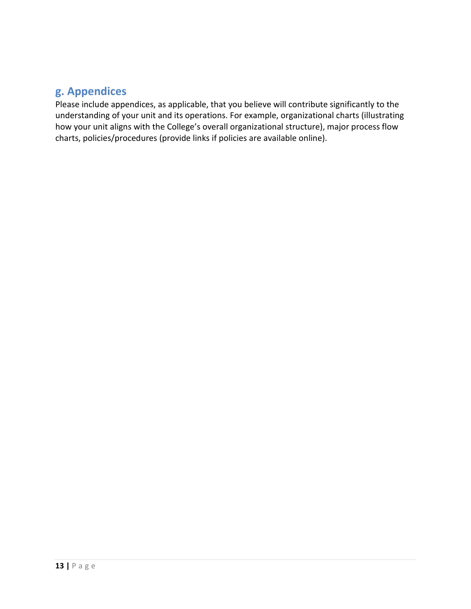## **g. Appendices**

Please include appendices, as applicable, that you believe will contribute significantly to the understanding of your unit and its operations. For example, organizational charts (illustrating how your unit aligns with the College's overall organizational structure), major process flow charts, policies/procedures (provide links if policies are available online).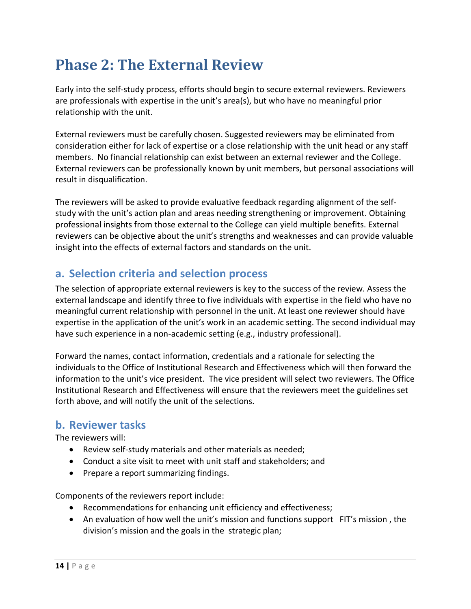## <span id="page-14-0"></span>**Phase 2: The External Review**

Early into the self-study process, efforts should begin to secure external reviewers. Reviewers are professionals with expertise in the unit's area(s), but who have no meaningful prior relationship with the unit.

External reviewers must be carefully chosen. Suggested reviewers may be eliminated from consideration either for lack of expertise or a close relationship with the unit head or any staff members. No financial relationship can exist between an external reviewer and the College. External reviewers can be professionally known by unit members, but personal associations will result in disqualification.

The reviewers will be asked to provide evaluative feedback regarding alignment of the selfstudy with the unit's action plan and areas needing strengthening or improvement. Obtaining professional insights from those external to the College can yield multiple benefits. External reviewers can be objective about the unit's strengths and weaknesses and can provide valuable insight into the effects of external factors and standards on the unit.

## **a. Selection criteria and selection process**

The selection of appropriate external reviewers is key to the success of the review. Assess the external landscape and identify three to five individuals with expertise in the field who have no meaningful current relationship with personnel in the unit. At least one reviewer should have expertise in the application of the unit's work in an academic setting. The second individual may have such experience in a non-academic setting (e.g., industry professional).

Forward the names, contact information, credentials and a rationale for selecting the individuals to the Office of Institutional Research and Effectiveness which will then forward the information to the unit's vice president. The vice president will select two reviewers. The Office Institutional Research and Effectiveness will ensure that the reviewers meet the guidelines set forth above, and will notify the unit of the selections.

## **b. Reviewer tasks**

The reviewers will:

- Review self-study materials and other materials as needed;
- Conduct a site visit to meet with unit staff and stakeholders; and
- Prepare a report summarizing findings.

Components of the reviewers report include:

- Recommendations for enhancing unit efficiency and effectiveness;
- An evaluation of how well the unit's mission and functions support FIT's mission, the division's mission and the goals in the strategic plan;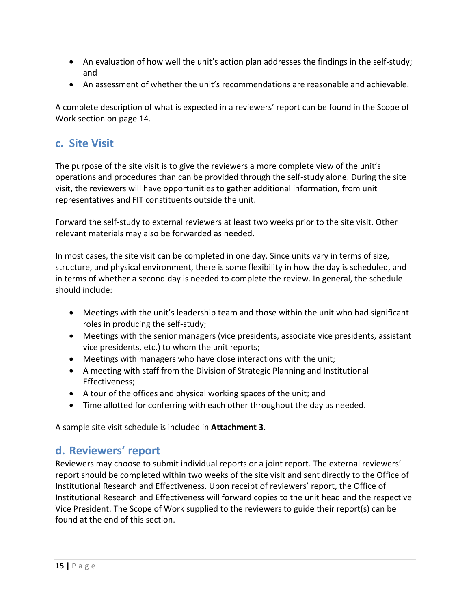- An evaluation of how well the unit's action plan addresses the findings in the self-study; and
- An assessment of whether the unit's recommendations are reasonable and achievable.

A complete description of what is expected in a reviewers' report can be found in the Scope of Work section on page 14.

## **c. Site Visit**

The purpose of the site visit is to give the reviewers a more complete view of the unit's operations and procedures than can be provided through the self-study alone. During the site visit, the reviewers will have opportunities to gather additional information, from unit representatives and FIT constituents outside the unit.

Forward the self-study to external reviewers at least two weeks prior to the site visit. Other relevant materials may also be forwarded as needed.

In most cases, the site visit can be completed in one day. Since units vary in terms of size, structure, and physical environment, there is some flexibility in how the day is scheduled, and in terms of whether a second day is needed to complete the review. In general, the schedule should include:

- Meetings with the unit's leadership team and those within the unit who had significant roles in producing the self-study;
- Meetings with the senior managers (vice presidents, associate vice presidents, assistant vice presidents, etc.) to whom the unit reports;
- Meetings with managers who have close interactions with the unit;
- A meeting with staff from the Division of Strategic Planning and Institutional Effectiveness;
- A tour of the offices and physical working spaces of the unit; and
- Time allotted for conferring with each other throughout the day as needed.

A sample site visit schedule is included in **Attachment 3**.

## **d. Reviewers' report**

Reviewers may choose to submit individual reports or a joint report. The external reviewers' report should be completed within two weeks of the site visit and sent directly to the Office of Institutional Research and Effectiveness. Upon receipt of reviewers' report, the Office of Institutional Research and Effectiveness will forward copies to the unit head and the respective Vice President. The Scope of Work supplied to the reviewers to guide their report(s) can be found at the end of this section.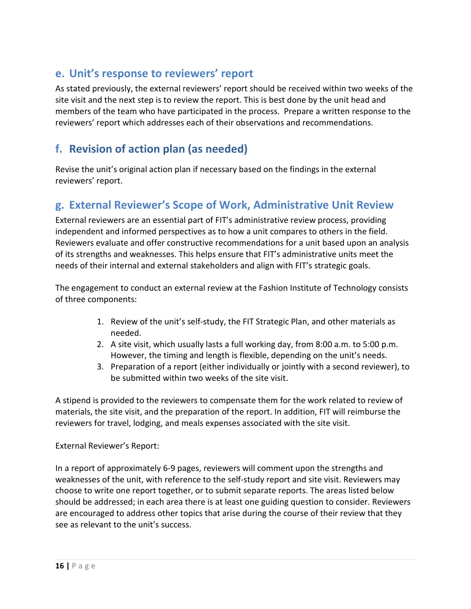## **e. Unit's response to reviewers' report**

As stated previously, the external reviewers' report should be received within two weeks of the site visit and the next step is to review the report. This is best done by the unit head and members of the team who have participated in the process. Prepare a written response to the reviewers' report which addresses each of their observations and recommendations.

## **f. Revision of action plan (as needed)**

Revise the unit's original action plan if necessary based on the findings in the external reviewers' report.

## **g. External Reviewer's Scope of Work, Administrative Unit Review**

External reviewers are an essential part of FIT's administrative review process, providing independent and informed perspectives as to how a unit compares to others in the field. Reviewers evaluate and offer constructive recommendations for a unit based upon an analysis of its strengths and weaknesses. This helps ensure that FIT's administrative units meet the needs of their internal and external stakeholders and align with FIT's strategic goals.

The engagement to conduct an external review at the Fashion Institute of Technology consists of three components:

- 1. Review of the unit's self-study, the FIT Strategic Plan, and other materials as needed.
- 2. A site visit, which usually lasts a full working day, from 8:00 a.m. to 5:00 p.m. However, the timing and length is flexible, depending on the unit's needs.
- 3. Preparation of a report (either individually or jointly with a second reviewer), to be submitted within two weeks of the site visit.

A stipend is provided to the reviewers to compensate them for the work related to review of materials, the site visit, and the preparation of the report. In addition, FIT will reimburse the reviewers for travel, lodging, and meals expenses associated with the site visit.

## External Reviewer's Report:

In a report of approximately 6-9 pages, reviewers will comment upon the strengths and weaknesses of the unit, with reference to the self-study report and site visit. Reviewers may choose to write one report together, or to submit separate reports. The areas listed below should be addressed; in each area there is at least one guiding question to consider. Reviewers are encouraged to address other topics that arise during the course of their review that they see as relevant to the unit's success.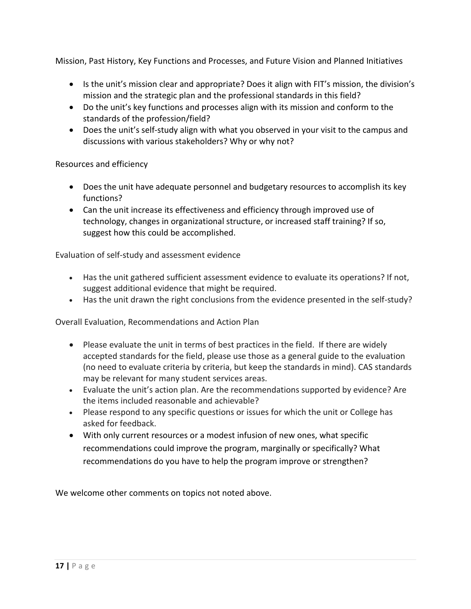Mission, Past History, Key Functions and Processes, and Future Vision and Planned Initiatives

- Is the unit's mission clear and appropriate? Does it align with FIT's mission, the division's mission and the strategic plan and the professional standards in this field?
- Do the unit's key functions and processes align with its mission and conform to the standards of the profession/field?
- Does the unit's self-study align with what you observed in your visit to the campus and discussions with various stakeholders? Why or why not?

## Resources and efficiency

- Does the unit have adequate personnel and budgetary resources to accomplish its key functions?
- Can the unit increase its effectiveness and efficiency through improved use of technology, changes in organizational structure, or increased staff training? If so, suggest how this could be accomplished.

Evaluation of self-study and assessment evidence

- Has the unit gathered sufficient assessment evidence to evaluate its operations? If not, suggest additional evidence that might be required.
- Has the unit drawn the right conclusions from the evidence presented in the self-study?

Overall Evaluation, Recommendations and Action Plan

- Please evaluate the unit in terms of best practices in the field. If there are widely accepted standards for the field, please use those as a general guide to the evaluation (no need to evaluate criteria by criteria, but keep the standards in mind). CAS standards may be relevant for many student services areas.
- Evaluate the unit's action plan. Are the recommendations supported by evidence? Are the items included reasonable and achievable?
- Please respond to any specific questions or issues for which the unit or College has asked for feedback.
- With only current resources or a modest infusion of new ones, what specific recommendations could improve the program, marginally or specifically? What recommendations do you have to help the program improve or strengthen?

We welcome other comments on topics not noted above.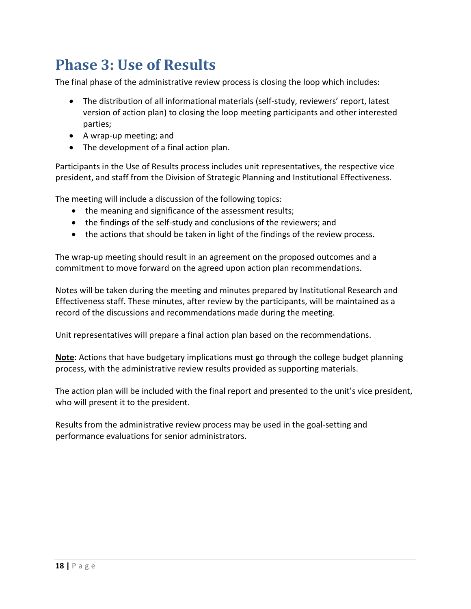## <span id="page-18-0"></span>**Phase 3: Use of Results**

The final phase of the administrative review process is closing the loop which includes:

- The distribution of all informational materials (self-study, reviewers' report, latest version of action plan) to closing the loop meeting participants and other interested parties;
- A wrap-up meeting; and
- The development of a final action plan.

Participants in the Use of Results process includes unit representatives, the respective vice president, and staff from the Division of Strategic Planning and Institutional Effectiveness.

The meeting will include a discussion of the following topics:

- the meaning and significance of the assessment results;
- the findings of the self-study and conclusions of the reviewers; and
- the actions that should be taken in light of the findings of the review process.

The wrap-up meeting should result in an agreement on the proposed outcomes and a commitment to move forward on the agreed upon action plan recommendations.

Notes will be taken during the meeting and minutes prepared by Institutional Research and Effectiveness staff. These minutes, after review by the participants, will be maintained as a record of the discussions and recommendations made during the meeting.

Unit representatives will prepare a final action plan based on the recommendations.

**Note**: Actions that have budgetary implications must go through the college budget planning process, with the administrative review results provided as supporting materials.

The action plan will be included with the final report and presented to the unit's vice president, who will present it to the president.

Results from the administrative review process may be used in the goal-setting and performance evaluations for senior administrators.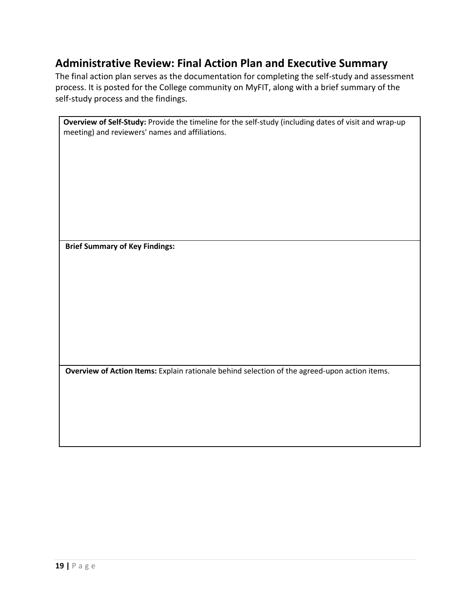## **Administrative Review: Final Action Plan and Executive Summary**

The final action plan serves as the documentation for completing the self-study and assessment process. It is posted for the College community on MyFIT, along with a brief summary of the self-study process and the findings.

| Overview of Self-Study: Provide the timeline for the self-study (including dates of visit and wrap-up |
|-------------------------------------------------------------------------------------------------------|
| meeting) and reviewers' names and affiliations.                                                       |
|                                                                                                       |
|                                                                                                       |
|                                                                                                       |
|                                                                                                       |
|                                                                                                       |
|                                                                                                       |
|                                                                                                       |
|                                                                                                       |
|                                                                                                       |
| <b>Brief Summary of Key Findings:</b>                                                                 |
|                                                                                                       |
|                                                                                                       |
|                                                                                                       |
|                                                                                                       |
|                                                                                                       |
|                                                                                                       |
|                                                                                                       |
|                                                                                                       |
|                                                                                                       |
|                                                                                                       |
| Overview of Action Items: Explain rationale behind selection of the agreed-upon action items.         |
|                                                                                                       |
|                                                                                                       |
|                                                                                                       |
|                                                                                                       |
|                                                                                                       |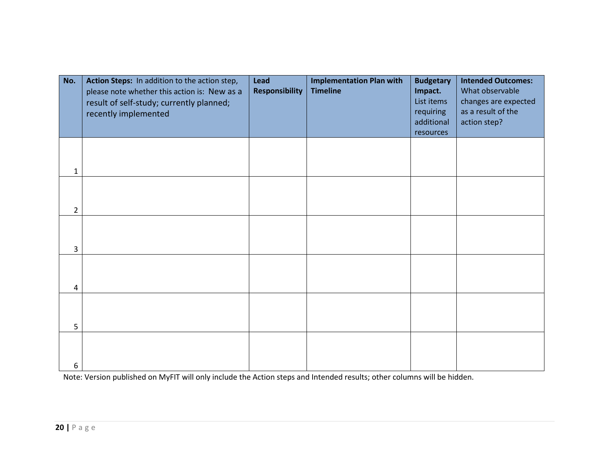| No.            | Action Steps: In addition to the action step,<br>please note whether this action is: New as a<br>result of self-study; currently planned;<br>recently implemented | Lead<br><b>Responsibility</b> | <b>Implementation Plan with</b><br><b>Timeline</b> | <b>Budgetary</b><br>Impact.<br>List items<br>requiring<br>additional<br>resources | <b>Intended Outcomes:</b><br>What observable<br>changes are expected<br>as a result of the<br>action step? |
|----------------|-------------------------------------------------------------------------------------------------------------------------------------------------------------------|-------------------------------|----------------------------------------------------|-----------------------------------------------------------------------------------|------------------------------------------------------------------------------------------------------------|
| 1              |                                                                                                                                                                   |                               |                                                    |                                                                                   |                                                                                                            |
| $\overline{2}$ |                                                                                                                                                                   |                               |                                                    |                                                                                   |                                                                                                            |
| 3              |                                                                                                                                                                   |                               |                                                    |                                                                                   |                                                                                                            |
| 4              |                                                                                                                                                                   |                               |                                                    |                                                                                   |                                                                                                            |
| 5              |                                                                                                                                                                   |                               |                                                    |                                                                                   |                                                                                                            |
| 6              |                                                                                                                                                                   |                               |                                                    |                                                                                   |                                                                                                            |

Note: Version published on MyFIT will only include the Action steps and Intended results; other columns will be hidden.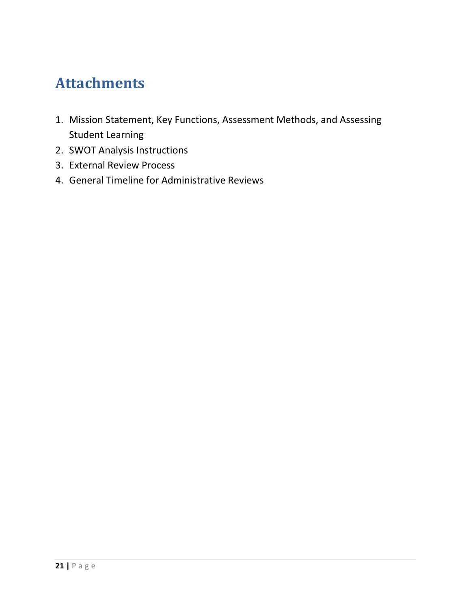## <span id="page-21-0"></span>**Attachments**

- 1. Mission Statement, Key Functions, Assessment Methods, and Assessing Student Learning
- 2. SWOT Analysis Instructions
- 3. External Review Process
- 4. General Timeline for Administrative Reviews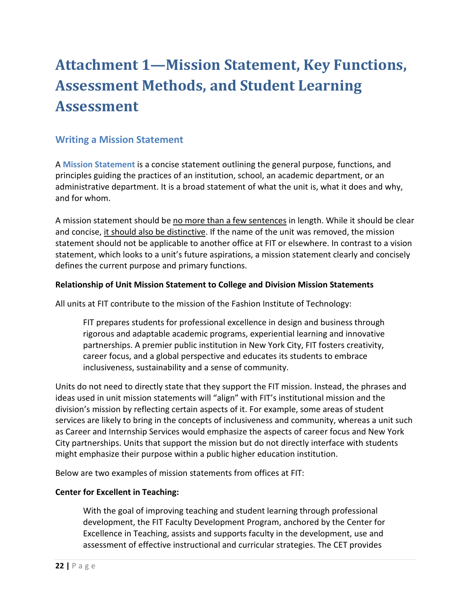## <span id="page-22-0"></span>**Attachment 1—Mission Statement, Key Functions, Assessment Methods, and Student Learning Assessment**

## **Writing a Mission Statement**

A **Mission Statement** is a concise statement outlining the general purpose, functions, and principles guiding the practices of an institution, school, an academic department, or an administrative department. It is a broad statement of what the unit is, what it does and why, and for whom.

A mission statement should be no more than a few sentences in length. While it should be clear and concise, it should also be distinctive. If the name of the unit was removed, the mission statement should not be applicable to another office at FIT or elsewhere. In contrast to a vision statement, which looks to a unit's future aspirations, a mission statement clearly and concisely defines the current purpose and primary functions.

### **Relationship of Unit Mission Statement to College and Division Mission Statements**

All units at FIT contribute to the mission of the Fashion Institute of Technology:

FIT prepares students for professional excellence in design and business through rigorous and adaptable academic programs, experiential learning and innovative partnerships. A premier public institution in New York City, FIT fosters creativity, career focus, and a global perspective and educates its students to embrace inclusiveness, sustainability and a sense of community.

Units do not need to directly state that they support the FIT mission. Instead, the phrases and ideas used in unit mission statements will "align" with FIT's institutional mission and the division's mission by reflecting certain aspects of it. For example, some areas of student services are likely to bring in the concepts of inclusiveness and community, whereas a unit such as Career and Internship Services would emphasize the aspects of career focus and New York City partnerships. Units that support the mission but do not directly interface with students might emphasize their purpose within a public higher education institution.

Below are two examples of mission statements from offices at FIT:

## **Center for Excellent in Teaching:**

With the goal of improving teaching and student learning through professional development, the FIT Faculty Development Program, anchored by the Center for Excellence in Teaching, assists and supports faculty in the development, use and assessment of effective instructional and curricular strategies. The CET provides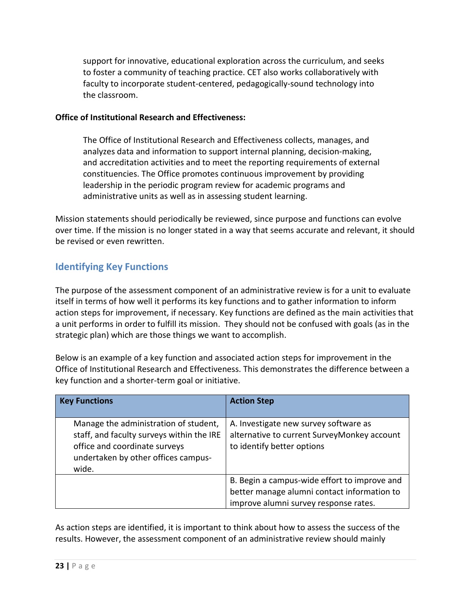support for innovative, educational exploration across the curriculum, and seeks to foster a community of teaching practice. CET also works collaboratively with faculty to incorporate student-centered, pedagogically-sound technology into the classroom.

### **Office of Institutional Research and Effectiveness:**

The Office of Institutional Research and Effectiveness collects, manages, and analyzes data and information to support internal planning, decision-making, and accreditation activities and to meet the reporting requirements of external constituencies. The Office promotes continuous improvement by providing leadership in the periodic program review for academic programs and administrative units as well as in assessing student learning.

Mission statements should periodically be reviewed, since purpose and functions can evolve over time. If the mission is no longer stated in a way that seems accurate and relevant, it should be revised or even rewritten.

## **Identifying Key Functions**

The purpose of the assessment component of an administrative review is for a unit to evaluate itself in terms of how well it performs its key functions and to gather information to inform action steps for improvement, if necessary. Key functions are defined as the main activities that a unit performs in order to fulfill its mission. They should not be confused with goals (as in the strategic plan) which are those things we want to accomplish.

Below is an example of a key function and associated action steps for improvement in the Office of Institutional Research and Effectiveness. This demonstrates the difference between a key function and a shorter-term goal or initiative.

| <b>Key Functions</b>                                                                                                                                                | <b>Action Step</b>                                                                                                                   |
|---------------------------------------------------------------------------------------------------------------------------------------------------------------------|--------------------------------------------------------------------------------------------------------------------------------------|
| Manage the administration of student,<br>staff, and faculty surveys within the IRE<br>office and coordinate surveys<br>undertaken by other offices campus-<br>wide. | A. Investigate new survey software as<br>alternative to current SurveyMonkey account<br>to identify better options                   |
|                                                                                                                                                                     | B. Begin a campus-wide effort to improve and<br>better manage alumni contact information to<br>improve alumni survey response rates. |

As action steps are identified, it is important to think about how to assess the success of the results. However, the assessment component of an administrative review should mainly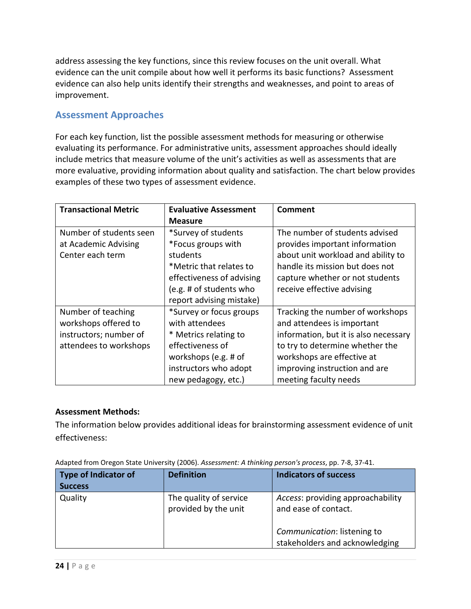address assessing the key functions, since this review focuses on the unit overall. What evidence can the unit compile about how well it performs its basic functions? Assessment evidence can also help units identify their strengths and weaknesses, and point to areas of improvement.

## **Assessment Approaches**

For each key function, list the possible assessment methods for measuring or otherwise evaluating its performance. For administrative units, assessment approaches should ideally include metrics that measure volume of the unit's activities as well as assessments that are more evaluative, providing information about quality and satisfaction. The chart below provides examples of these two types of assessment evidence.

| <b>Transactional Metric</b> | <b>Evaluative Assessment</b> | Comment                               |  |
|-----------------------------|------------------------------|---------------------------------------|--|
|                             | <b>Measure</b>               |                                       |  |
| Number of students seen     | *Survey of students          | The number of students advised        |  |
| at Academic Advising        | *Focus groups with           | provides important information        |  |
| Center each term            | students                     | about unit workload and ability to    |  |
|                             | *Metric that relates to      | handle its mission but does not       |  |
|                             | effectiveness of advising    | capture whether or not students       |  |
|                             | (e.g. # of students who      | receive effective advising            |  |
|                             | report advising mistake)     |                                       |  |
| Number of teaching          | *Survey or focus groups      | Tracking the number of workshops      |  |
| workshops offered to        | with attendees               | and attendees is important            |  |
| instructors; number of      | * Metrics relating to        | information, but it is also necessary |  |
| attendees to workshops      | effectiveness of             | to try to determine whether the       |  |
|                             | workshops (e.g. # of         | workshops are effective at            |  |
|                             | instructors who adopt        | improving instruction and are         |  |
|                             | new pedagogy, etc.)          | meeting faculty needs                 |  |

## **Assessment Methods:**

The information below provides additional ideas for brainstorming assessment evidence of unit effectiveness:

| <b>Type of Indicator of</b><br><b>Success</b> | <b>Definition</b>                              | <b>Indicators of success</b>                                  |
|-----------------------------------------------|------------------------------------------------|---------------------------------------------------------------|
| Quality                                       | The quality of service<br>provided by the unit | Access: providing approachability<br>and ease of contact.     |
|                                               |                                                | Communication: listening to<br>stakeholders and acknowledging |

Adapted from Oregon State University (2006). *Assessment: A thinking person's process*, pp. 7-8, 37-41.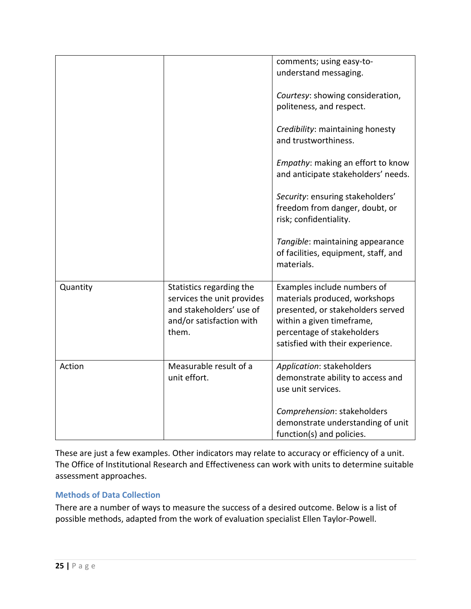|          |                                                                                                                         | comments; using easy-to-<br>understand messaging.                                                                                                                                                |
|----------|-------------------------------------------------------------------------------------------------------------------------|--------------------------------------------------------------------------------------------------------------------------------------------------------------------------------------------------|
|          |                                                                                                                         | Courtesy: showing consideration,<br>politeness, and respect.                                                                                                                                     |
|          |                                                                                                                         | Credibility: maintaining honesty<br>and trustworthiness.                                                                                                                                         |
|          |                                                                                                                         | Empathy: making an effort to know<br>and anticipate stakeholders' needs.                                                                                                                         |
|          |                                                                                                                         | Security: ensuring stakeholders'<br>freedom from danger, doubt, or<br>risk; confidentiality.                                                                                                     |
|          |                                                                                                                         | Tangible: maintaining appearance<br>of facilities, equipment, staff, and<br>materials.                                                                                                           |
| Quantity | Statistics regarding the<br>services the unit provides<br>and stakeholders' use of<br>and/or satisfaction with<br>them. | Examples include numbers of<br>materials produced, workshops<br>presented, or stakeholders served<br>within a given timeframe,<br>percentage of stakeholders<br>satisfied with their experience. |
| Action   | Measurable result of a<br>unit effort.                                                                                  | Application: stakeholders<br>demonstrate ability to access and<br>use unit services.                                                                                                             |
|          |                                                                                                                         | Comprehension: stakeholders<br>demonstrate understanding of unit<br>function(s) and policies.                                                                                                    |

These are just a few examples. Other indicators may relate to accuracy or efficiency of a unit. The Office of Institutional Research and Effectiveness can work with units to determine suitable assessment approaches.

## **Methods of Data Collection**

There are a number of ways to measure the success of a desired outcome. Below is a list of possible methods, adapted from the work of evaluation specialist Ellen Taylor-Powell.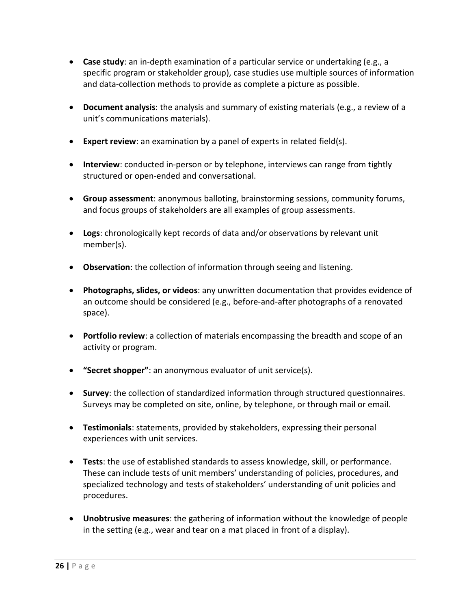- **Case study**: an in-depth examination of a particular service or undertaking (e.g., a specific program or stakeholder group), case studies use multiple sources of information and data-collection methods to provide as complete a picture as possible.
- **Document analysis**: the analysis and summary of existing materials (e.g., a review of a unit's communications materials).
- **Expert review**: an examination by a panel of experts in related field(s).
- **Interview**: conducted in-person or by telephone, interviews can range from tightly structured or open-ended and conversational.
- **Group assessment**: anonymous balloting, brainstorming sessions, community forums, and focus groups of stakeholders are all examples of group assessments.
- **Logs**: chronologically kept records of data and/or observations by relevant unit member(s).
- **Observation**: the collection of information through seeing and listening.
- **Photographs, slides, or videos**: any unwritten documentation that provides evidence of an outcome should be considered (e.g., before-and-after photographs of a renovated space).
- **Portfolio review**: a collection of materials encompassing the breadth and scope of an activity or program.
- **"Secret shopper"**: an anonymous evaluator of unit service(s).
- **Survey**: the collection of standardized information through structured questionnaires. Surveys may be completed on site, online, by telephone, or through mail or email.
- **Testimonials**: statements, provided by stakeholders, expressing their personal experiences with unit services.
- **Tests**: the use of established standards to assess knowledge, skill, or performance. These can include tests of unit members' understanding of policies, procedures, and specialized technology and tests of stakeholders' understanding of unit policies and procedures.
- **Unobtrusive measures**: the gathering of information without the knowledge of people in the setting (e.g., wear and tear on a mat placed in front of a display).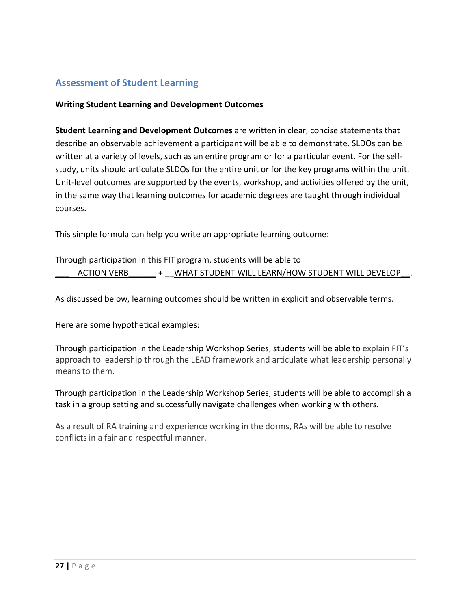## **Assessment of Student Learning**

#### **Writing Student Learning and Development Outcomes**

**Student Learning and Development Outcomes** are written in clear, concise statements that describe an observable achievement a participant will be able to demonstrate. SLDOs can be written at a variety of levels, such as an entire program or for a particular event. For the selfstudy, units should articulate SLDOs for the entire unit or for the key programs within the unit. Unit-level outcomes are supported by the events, workshop, and activities offered by the unit, in the same way that learning outcomes for academic degrees are taught through individual courses.

This simple formula can help you write an appropriate learning outcome:

Through participation in this FIT program, students will be able to ACTION VERB  $\quad$  +  $\quad$  WHAT STUDENT WILL LEARN/HOW STUDENT WILL DEVELOP

As discussed below, learning outcomes should be written in explicit and observable terms.

Here are some hypothetical examples:

Through participation in the Leadership Workshop Series, students will be able to explain FIT's approach to leadership through the LEAD framework and articulate what leadership personally means to them.

Through participation in the Leadership Workshop Series, students will be able to accomplish a task in a group setting and successfully navigate challenges when working with others.

As a result of RA training and experience working in the dorms, RAs will be able to resolve conflicts in a fair and respectful manner.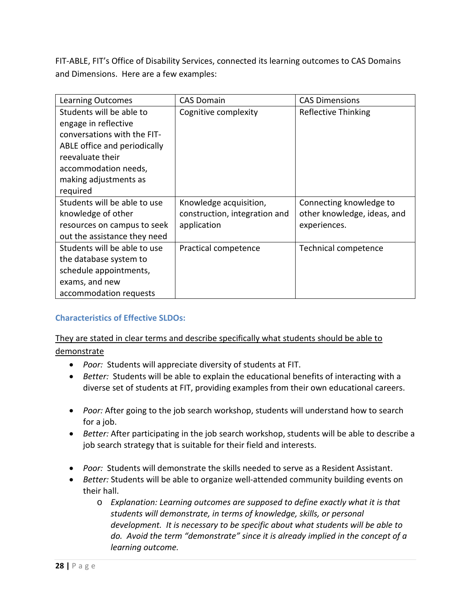FIT-ABLE, FIT's Office of Disability Services, connected its learning outcomes to CAS Domains and Dimensions. Here are a few examples:

| <b>Learning Outcomes</b>     | <b>CAS Domain</b>             | <b>CAS Dimensions</b>       |
|------------------------------|-------------------------------|-----------------------------|
| Students will be able to     | Cognitive complexity          | Reflective Thinking         |
| engage in reflective         |                               |                             |
| conversations with the FIT-  |                               |                             |
| ABLE office and periodically |                               |                             |
| reevaluate their             |                               |                             |
| accommodation needs,         |                               |                             |
| making adjustments as        |                               |                             |
| required                     |                               |                             |
| Students will be able to use | Knowledge acquisition,        | Connecting knowledge to     |
| knowledge of other           | construction, integration and | other knowledge, ideas, and |
| resources on campus to seek  | application                   | experiences.                |
| out the assistance they need |                               |                             |
| Students will be able to use | Practical competence          | Technical competence        |
| the database system to       |                               |                             |
| schedule appointments,       |                               |                             |
| exams, and new               |                               |                             |
| accommodation requests       |                               |                             |

## **Characteristics of Effective SLDOs:**

## They are stated in clear terms and describe specifically what students should be able to demonstrate

- *Poor:* Students will appreciate diversity of students at FIT.
- *Better:* Students will be able to explain the educational benefits of interacting with a diverse set of students at FIT, providing examples from their own educational careers.
- *Poor:* After going to the job search workshop, students will understand how to search for a job.
- *Better:* After participating in the job search workshop, students will be able to describe a job search strategy that is suitable for their field and interests.
- *Poor:* Students will demonstrate the skills needed to serve as a Resident Assistant.
- *Better:* Students will be able to organize well-attended community building events on their hall.
	- o *Explanation: Learning outcomes are supposed to define exactly what it is that students will demonstrate, in terms of knowledge, skills, or personal development. It is necessary to be specific about what students will be able to do. Avoid the term "demonstrate" since it is already implied in the concept of a learning outcome.*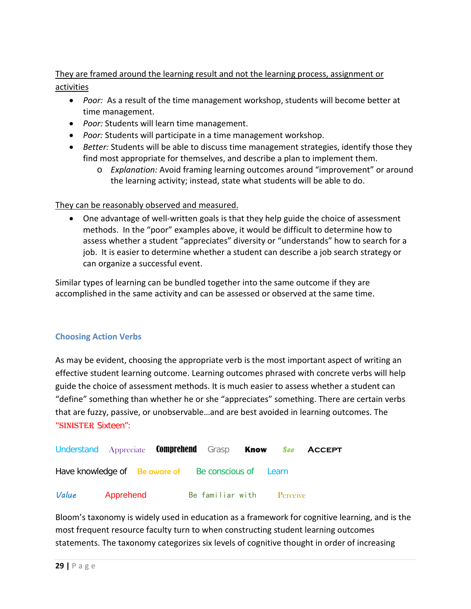## They are framed around the learning result and not the learning process, assignment or activities

- *Poor:* As a result of the time management workshop, students will become better at time management.
- *Poor:* Students will learn time management.
- *Poor:* Students will participate in a time management workshop.
- *Better:* Students will be able to discuss time management strategies, identify those they find most appropriate for themselves, and describe a plan to implement them.
	- o *Explanation:* Avoid framing learning outcomes around "improvement" or around the learning activity; instead, state what students will be able to do.

## They can be reasonably observed and measured.

• One advantage of well-written goals is that they help guide the choice of assessment methods. In the "poor" examples above, it would be difficult to determine how to assess whether a student "appreciates" diversity or "understands" how to search for a job. It is easier to determine whether a student can describe a job search strategy or can organize a successful event.

Similar types of learning can be bundled together into the same outcome if they are accomplished in the same activity and can be assessed or observed at the same time.

## **Choosing Action Verbs**

As may be evident, choosing the appropriate verb is the most important aspect of writing an effective student learning outcome. Learning outcomes phrased with concrete verbs will help guide the choice of assessment methods. It is much easier to assess whether a student can "define" something than whether he or she "appreciates" something. There are certain verbs that are fuzzy, passive, or unobservable…and are best avoided in learning outcomes. The "SINISTER Sixteen":

| Understand Appreciate <b>Comprehend</b> Grasp <b>Know See ACCEPT</b> |           |  |  |                           |  |
|----------------------------------------------------------------------|-----------|--|--|---------------------------|--|
| Have knowledge of Be aware of Be conscious of Learn                  |           |  |  |                           |  |
| Value                                                                | Apprehend |  |  | Be familiar with Perceive |  |

Bloom's taxonomy is widely used in education as a framework for cognitive learning, and is the most frequent resource faculty turn to when constructing student learning outcomes statements. The taxonomy categorizes six levels of cognitive thought in order of increasing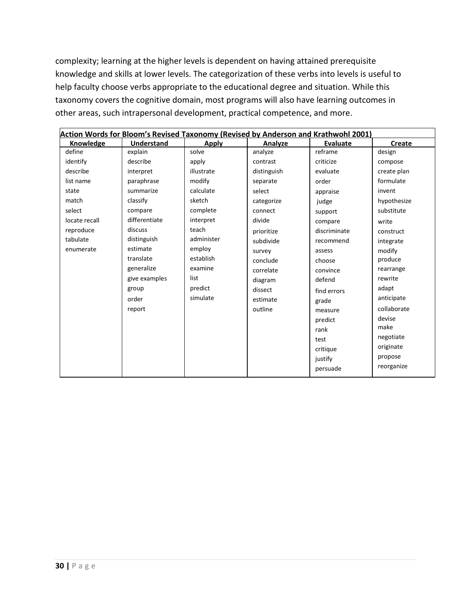complexity; learning at the higher levels is dependent on having attained prerequisite knowledge and skills at lower levels. The categorization of these verbs into levels is useful to help faculty choose verbs appropriate to the educational degree and situation. While this taxonomy covers the cognitive domain, most programs will also have learning outcomes in other areas, such intrapersonal development, practical competence, and more.

| Action Words for Bloom's Revised Taxonomy (Revised by Anderson and Krathwohl 2001) |                   |              |             |                 |             |  |
|------------------------------------------------------------------------------------|-------------------|--------------|-------------|-----------------|-------------|--|
| Knowledge                                                                          | <b>Understand</b> | <b>Apply</b> | Analyze     | <b>Evaluate</b> | Create      |  |
| define                                                                             | explain           | solve        | analyze     | reframe         | design      |  |
| identify                                                                           | describe          | apply        | contrast    | criticize       | compose     |  |
| describe                                                                           | interpret         | illustrate   | distinguish | evaluate        | create plan |  |
| list name                                                                          | paraphrase        | modify       | separate    | order           | formulate   |  |
| state                                                                              | summarize         | calculate    | select      | appraise        | invent      |  |
| match                                                                              | classify          | sketch       | categorize  | judge           | hypothesize |  |
| select                                                                             | compare           | complete     | connect     | support         | substitute  |  |
| locate recall                                                                      | differentiate     | interpret    | divide      | compare         | write       |  |
| reproduce                                                                          | discuss           | teach        | prioritize  | discriminate    | construct   |  |
| tabulate                                                                           | distinguish       | administer   | subdivide   | recommend       | integrate   |  |
| enumerate                                                                          | estimate          | employ       | survey      | assess          | modify      |  |
|                                                                                    | translate         | establish    | conclude    | choose          | produce     |  |
|                                                                                    | generalize        | examine      | correlate   | convince        | rearrange   |  |
|                                                                                    | give examples     | list         | diagram     | defend          | rewrite     |  |
|                                                                                    | group             | predict      | dissect     | find errors     | adapt       |  |
|                                                                                    | order             | simulate     | estimate    | grade           | anticipate  |  |
|                                                                                    | report            |              | outline     | measure         | collaborate |  |
|                                                                                    |                   |              |             | predict         | devise      |  |
|                                                                                    |                   |              |             | rank            | make        |  |
|                                                                                    |                   |              |             | test            | negotiate   |  |
|                                                                                    |                   |              |             | critique        | originate   |  |
|                                                                                    |                   |              |             | justify         | propose     |  |
|                                                                                    |                   |              |             | persuade        | reorganize  |  |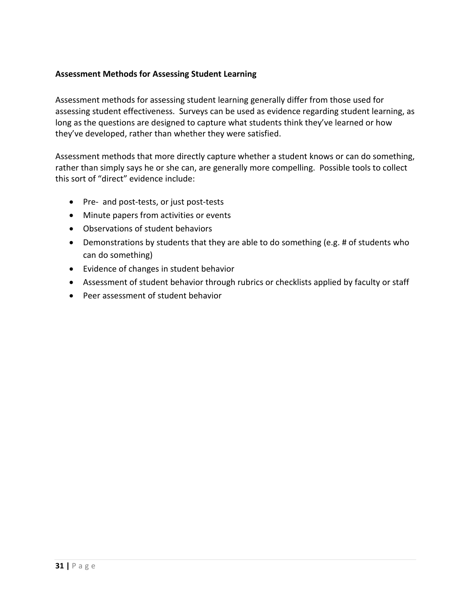## **Assessment Methods for Assessing Student Learning**

Assessment methods for assessing student learning generally differ from those used for assessing student effectiveness. Surveys can be used as evidence regarding student learning, as long as the questions are designed to capture what students think they've learned or how they've developed, rather than whether they were satisfied.

Assessment methods that more directly capture whether a student knows or can do something, rather than simply says he or she can, are generally more compelling. Possible tools to collect this sort of "direct" evidence include:

- Pre- and post-tests, or just post-tests
- Minute papers from activities or events
- Observations of student behaviors
- Demonstrations by students that they are able to do something (e.g. # of students who can do something)
- Evidence of changes in student behavior
- Assessment of student behavior through rubrics or checklists applied by faculty or staff
- <span id="page-31-0"></span>• Peer assessment of student behavior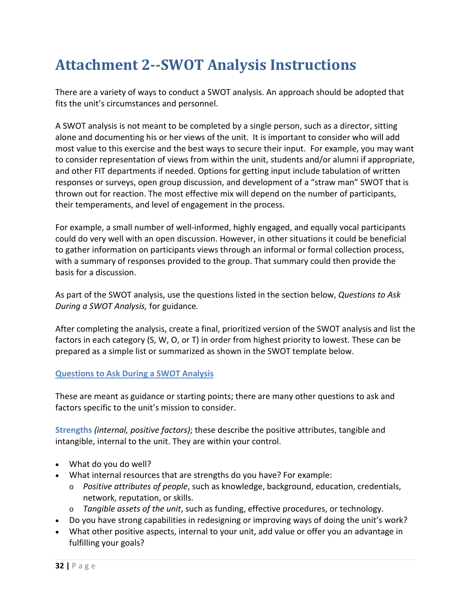## **Attachment 2--SWOT Analysis Instructions**

There are a variety of ways to conduct a SWOT analysis. An approach should be adopted that fits the unit's circumstances and personnel.

A SWOT analysis is not meant to be completed by a single person, such as a director, sitting alone and documenting his or her views of the unit. It is important to consider who will add most value to this exercise and the best ways to secure their input. For example, you may want to consider representation of views from within the unit, students and/or alumni if appropriate, and other FIT departments if needed. Options for getting input include tabulation of written responses or surveys, open group discussion, and development of a "straw man" SWOT that is thrown out for reaction. The most effective mix will depend on the number of participants, their temperaments, and level of engagement in the process.

For example, a small number of well-informed, highly engaged, and equally vocal participants could do very well with an open discussion. However, in other situations it could be beneficial to gather information on participants views through an informal or formal collection process, with a summary of responses provided to the group. That summary could then provide the basis for a discussion.

As part of the SWOT analysis, use the questions listed in the section below, *[Questions to Ask](#page-32-0)  [During a SWOT Analysis,](#page-32-0)* for guidance*.* 

After completing the analysis, create a final, prioritized version of the SWOT analysis and list the factors in each category (S, W, O, or T) in order from highest priority to lowest. These can be prepared as a simple list or summarized as shown in the SWOT template below.

## <span id="page-32-0"></span>**Questions to Ask During a SWOT Analysis**

These are meant as guidance or starting points; there are many other questions to ask and factors specific to the unit's mission to consider.

**Strengths** *(internal, positive factors)*; these describe the positive attributes, tangible and intangible, internal to the unit. They are within your control.

- What do you do well?
- What internal resources that are strengths do you have? For example:
	- o *Positive attributes of people*, such as knowledge, background, education, credentials, network, reputation, or skills.
	- o *Tangible assets of the unit*, such as funding, effective procedures, or technology.
- Do you have strong capabilities in redesigning or improving ways of doing the unit's work?
- What other positive aspects, internal to your unit, add value or offer you an advantage in fulfilling your goals?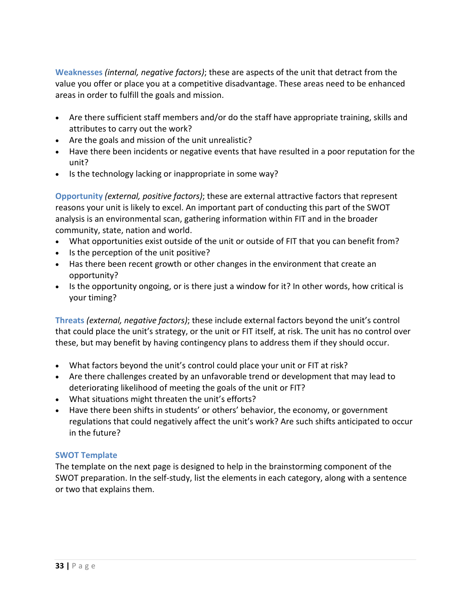**Weaknesses** *(internal, negative factors)*; these are aspects of the unit that detract from the value you offer or place you at a competitive disadvantage. These areas need to be enhanced areas in order to fulfill the goals and mission.

- Are there sufficient staff members and/or do the staff have appropriate training, skills and attributes to carry out the work?
- Are the goals and mission of the unit unrealistic?
- Have there been incidents or negative events that have resulted in a poor reputation for the unit?
- Is the technology lacking or inappropriate in some way?

**Opportunity** *(external, positive factors)*; these are external attractive factors that represent reasons your unit is likely to excel. An important part of conducting this part of the SWOT analysis is an environmental scan, gathering information within FIT and in the broader community, state, nation and world.

- What opportunities exist outside of the unit or outside of FIT that you can benefit from?
- Is the perception of the unit positive?
- Has there been recent growth or other changes in the environment that create an opportunity?
- Is the opportunity ongoing, or is there just a window for it? In other words, how critical is your timing?

**Threats** *(external, negative factors)*; these include external factors beyond the unit's control that could place the unit's strategy, or the unit or FIT itself, at risk. The unit has no control over these, but may benefit by having contingency plans to address them if they should occur.

- What factors beyond the unit's control could place your unit or FIT at risk?
- Are there challenges created by an unfavorable trend or development that may lead to deteriorating likelihood of meeting the goals of the unit or FIT?
- What situations might threaten the unit's efforts?
- Have there been shifts in students' or others' behavior, the economy, or government regulations that could negatively affect the unit's work? Are such shifts anticipated to occur in the future?

#### **SWOT Template**

The template on the next page is designed to help in the brainstorming component of the SWOT preparation. In the self-study, list the elements in each category, along with a sentence or two that explains them.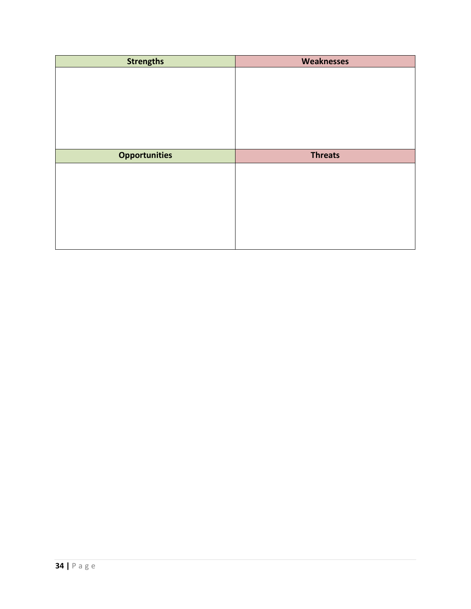| <b>Strengths</b>     | <b>Weaknesses</b> |
|----------------------|-------------------|
|                      |                   |
|                      |                   |
|                      |                   |
|                      |                   |
|                      |                   |
|                      |                   |
|                      |                   |
| <b>Opportunities</b> | <b>Threats</b>    |
|                      |                   |
|                      |                   |
|                      |                   |
|                      |                   |
|                      |                   |
|                      |                   |
|                      |                   |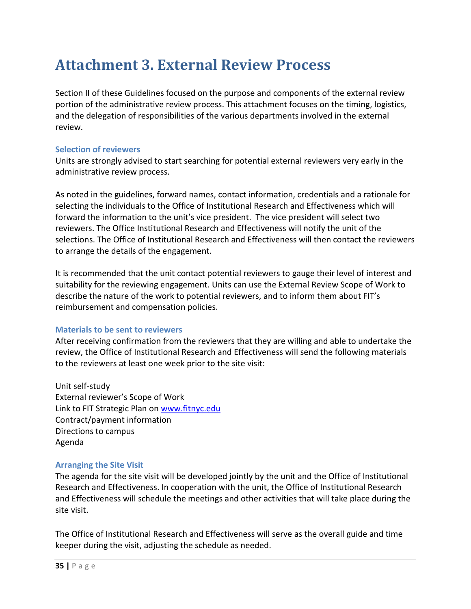## <span id="page-35-0"></span>**Attachment 3. External Review Process**

Section II of these Guidelines focused on the purpose and components of the external review portion of the administrative review process. This attachment focuses on the timing, logistics, and the delegation of responsibilities of the various departments involved in the external review.

### **Selection of reviewers**

Units are strongly advised to start searching for potential external reviewers very early in the administrative review process.

As noted in the guidelines, forward names, contact information, credentials and a rationale for selecting the individuals to the Office of Institutional Research and Effectiveness which will forward the information to the unit's vice president. The vice president will select two reviewers. The Office Institutional Research and Effectiveness will notify the unit of the selections. The Office of Institutional Research and Effectiveness will then contact the reviewers to arrange the details of the engagement.

It is recommended that the unit contact potential reviewers to gauge their level of interest and suitability for the reviewing engagement. Units can use the External Review Scope of Work to describe the nature of the work to potential reviewers, and to inform them about FIT's reimbursement and compensation policies.

## **Materials to be sent to reviewers**

After receiving confirmation from the reviewers that they are willing and able to undertake the review, the Office of Institutional Research and Effectiveness will send the following materials to the reviewers at least one week prior to the site visit:

Unit self-study External reviewer's Scope of Work Link to FIT Strategic Plan on [www.fitnyc.edu](http://www.fitnyc.edu/) Contract/payment information Directions to campus Agenda

#### **Arranging the Site Visit**

The agenda for the site visit will be developed jointly by the unit and the Office of Institutional Research and Effectiveness. In cooperation with the unit, the Office of Institutional Research and Effectiveness will schedule the meetings and other activities that will take place during the site visit.

The Office of Institutional Research and Effectiveness will serve as the overall guide and time keeper during the visit, adjusting the schedule as needed.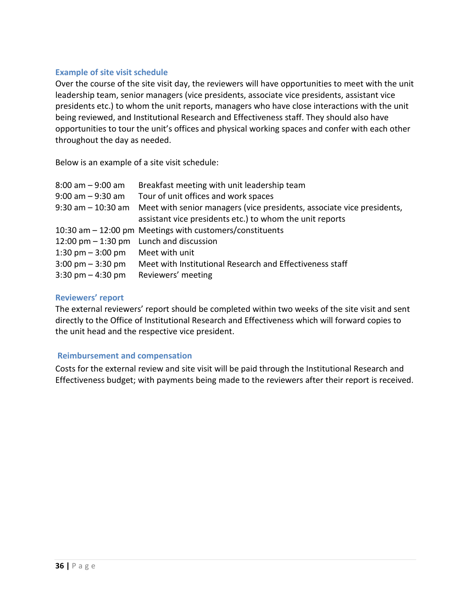#### **Example of site visit schedule**

Over the course of the site visit day, the reviewers will have opportunities to meet with the unit leadership team, senior managers (vice presidents, associate vice presidents, assistant vice presidents etc.) to whom the unit reports, managers who have close interactions with the unit being reviewed, and Institutional Research and Effectiveness staff. They should also have opportunities to tour the unit's offices and physical working spaces and confer with each other throughout the day as needed.

Below is an example of a site visit schedule:

| $8:00$ am $-9:00$ am                | Breakfast meeting with unit leadership team                                               |
|-------------------------------------|-------------------------------------------------------------------------------------------|
| $9:00$ am $-9:30$ am                | Tour of unit offices and work spaces                                                      |
|                                     | 9:30 am - 10:30 am Meet with senior managers (vice presidents, associate vice presidents, |
|                                     | assistant vice presidents etc.) to whom the unit reports                                  |
|                                     | 10:30 am - 12:00 pm Meetings with customers/constituents                                  |
|                                     | 12:00 pm $-$ 1:30 pm Lunch and discussion                                                 |
| 1:30 pm $-$ 3:00 pm                 | Meet with unit                                                                            |
| $3:00 \text{ pm} - 3:30 \text{ pm}$ | Meet with Institutional Research and Effectiveness staff                                  |
| $3:30 \text{ pm} - 4:30 \text{ pm}$ | Reviewers' meeting                                                                        |

### **Reviewers' report**

The external reviewers' report should be completed within two weeks of the site visit and sent directly to the Office of Institutional Research and Effectiveness which will forward copies to the unit head and the respective vice president.

#### **Reimbursement and compensation**

Costs for the external review and site visit will be paid through the Institutional Research and Effectiveness budget; with payments being made to the reviewers after their report is received.